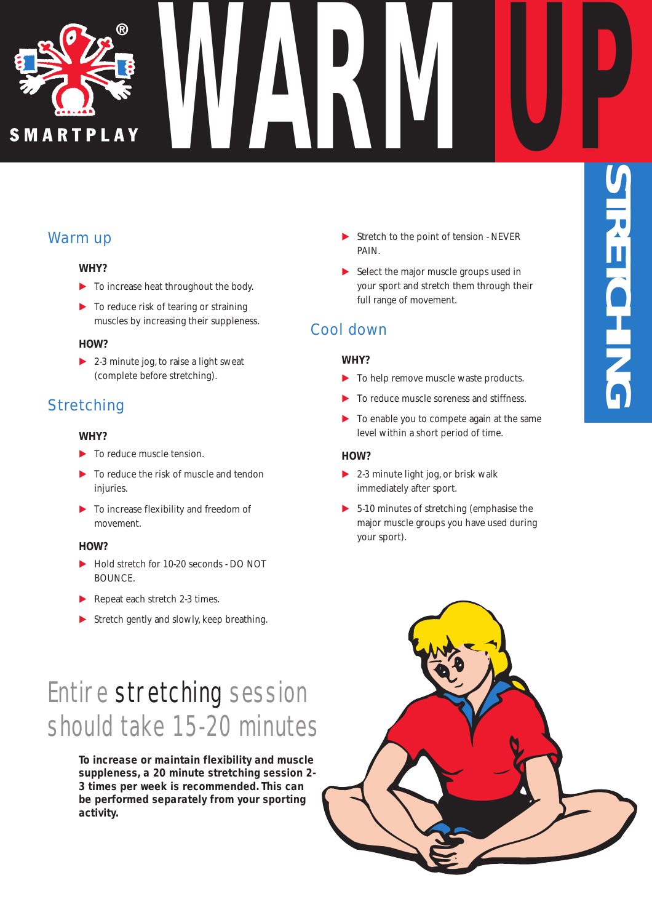

## Warm up

#### *WHY?*

- E To increase heat throughout the body.
- $\triangleright$  To reduce risk of tearing or straining muscles by increasing their suppleness.

#### *HOW?*

 $\triangleright$  2-3 minute jog, to raise a light sweat (complete before stretching).

## **Stretching**

#### *WHY?*

- $\blacktriangleright$  To reduce muscle tension.
- E To reduce the risk of muscle and tendon injuries.
- E To increase flexibility and freedom of movement.

#### *HOW?*

- ► Hold stretch for 10-20 seconds DO NOT BOUNCE.
- Repeat each stretch 2-3 times.
- $\blacktriangleright$  Stretch gently and slowly, keep breathing.

## Entire stretching session should take 15-20 minutes

*To increase or maintain flexibility and muscle suppleness, a 20 minute stretching session 2- 3 times per week is recommended. This can be performed separately from your sporting activity.*

 $\blacktriangleright$  Stretch to the point of tension - NEVER PAIN.

**S**

**T R**

**E**

**T C**

**HIN**

**G**

**WARM UP**

E Select the major muscle groups used in your sport and stretch them through their full range of movement.

### Cool down

#### *WHY?*

- To help remove muscle waste products.
- To reduce muscle soreness and stiffness.
- $\blacktriangleright$  To enable you to compete again at the same level within a short period of time.

#### *HOW?*

- $\blacktriangleright$  2-3 minute light jog, or brisk walk immediately after sport.
- $\triangleright$  5-10 minutes of stretching (emphasise the major muscle groups you have used during your sport).

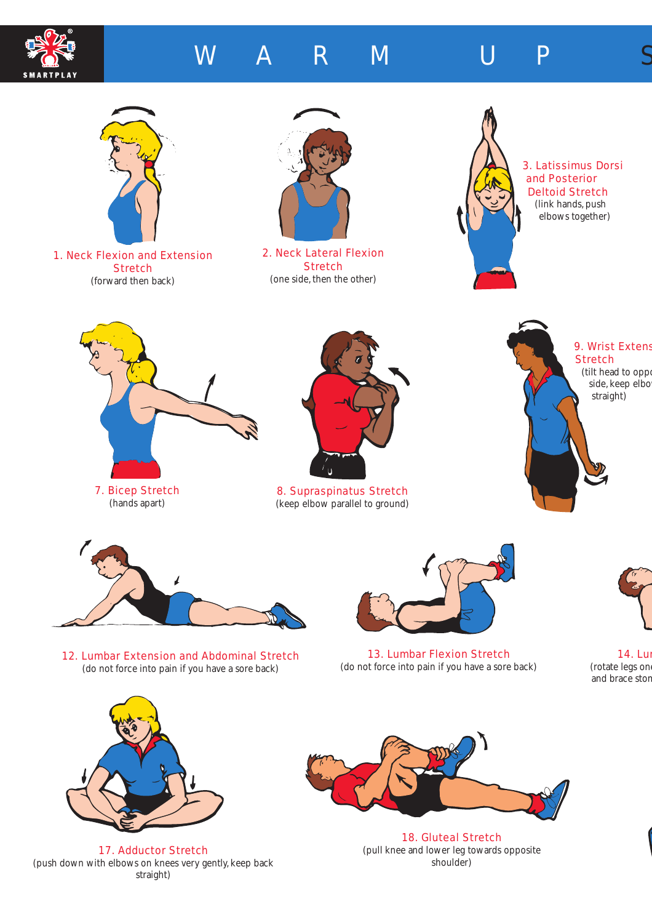

# W A R M U P S







1. Neck Flexion and Extension **Stretch** (forward then back)



2. Neck Lateral Flexion **Stretch** (one side, then the other)



3. Latissimus Dorsi and Posterior Deltoid Stretch (link hands, push elbows together)





8. Supraspinatus Stretch (keep elbow parallel to ground)





12. Lumbar Extension and Abdominal Stretch (do not force into pain if you have a sore back)



13. Lumbar Flexion Stretch (do not force into pain if you have a sore back)



14. Lum (rotate legs on and brace stom



17. Adductor Stretch (push down with elbows on knees very gently, keep back straight)



18. Gluteal Stretch (pull knee and lower leg towards opposite shoulder)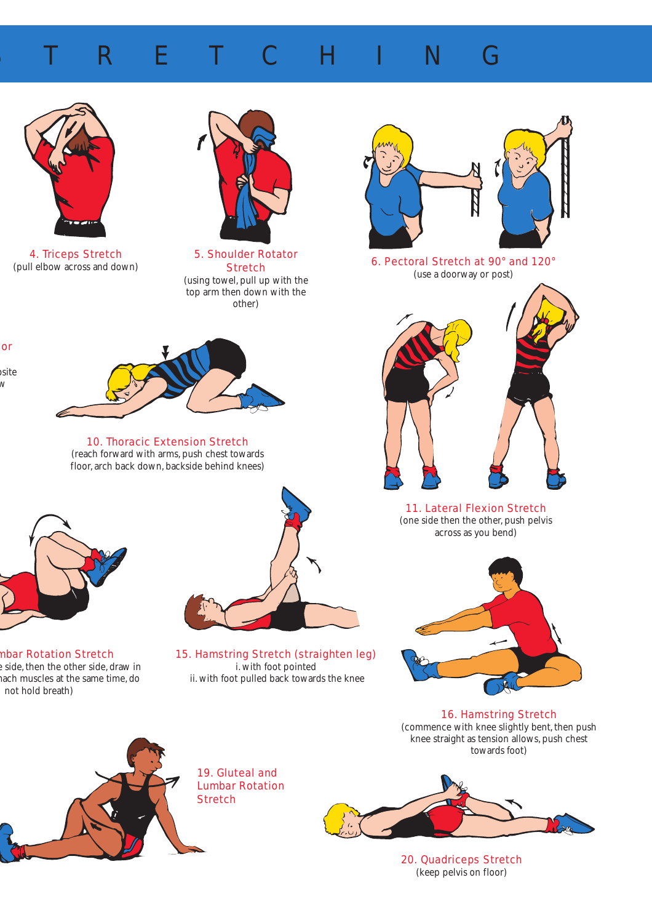## R E T C H I N G



4. Triceps Stretch (pull elbow across and down)

sor

osite w



5. Shoulder Rotator **Stretch** (using towel, pull up with the top arm then down with the other)



10. Thoracic Extension Stretch (reach forward with arms, push chest towards floor, arch back down, backside behind knees)



mbar Rotation Stretch e side, then the other side, draw in mach muscles at the same time, do not hold breath)



15. Hamstring Stretch (straighten leg) i. with foot pointed ii. with foot pulled back towards the knee



6. Pectoral Stretch at 90° and 120° (use a doorway or post)



11. Lateral Flexion Stretch (one side then the other, push pelvis across as you bend)



16. Hamstring Stretch (commence with knee slightly bent, then push knee straight as tension allows, push chest towards foot)



19. Gluteal and Lumbar Rotation **Stretch** 



20. Quadriceps Stretch (keep pelvis on floor)